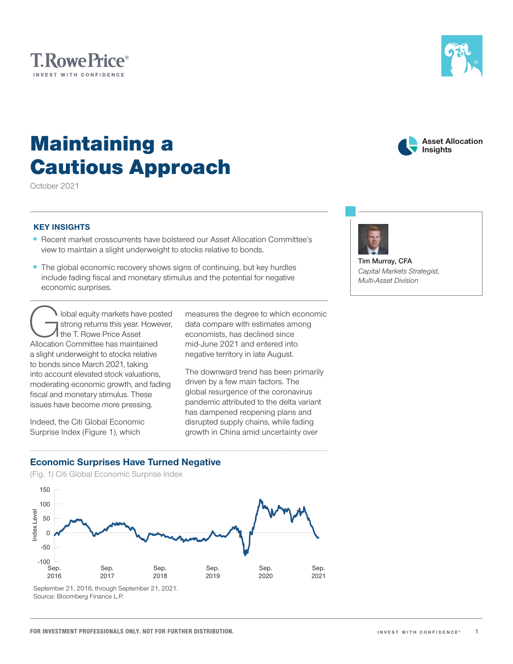# Maintaining a Cautious Approach

October 2021

**T.RowePrice**® INVEST WITH CONFIDENCE

## **KEY INSIGHTS**

- Recent market crosscurrents have bolstered our Asset Allocation Committee's view to maintain a slight underweight to stocks relative to bonds.
- The global economic recovery shows signs of continuing, but key hurdles include fading fiscal and monetary stimulus and the potential for negative economic surprises.

lobal equity markets have posted strong returns this year. However, the T. Rowe Price Asset Allocation Committee has maintained a slight underweight to stocks relative to bonds since March 2021, taking into account elevated stock valuations, moderating economic growth, and fading fiscal and monetary stimulus. These issues have become more pressing.

Indeed, the Citi Global Economic Surprise Index (Figure 1), which

measures the degree to which economic data compare with estimates among economists, has declined since mid‑June 2021 and entered into negative territory in late August.

The downward trend has been primarily driven by a few main factors. The global resurgence of the coronavirus pandemic attributed to the delta variant has dampened reopening plans and disrupted supply chains, while fading growth in China amid uncertainty over

## **Economic Surprises Have Turned Negative**

(Fig. 1) Citi Global Economic Surprise Index



Source: Bloomberg Finance L.P.



*Capital Markets Strategist, Multi‑Asset Division*



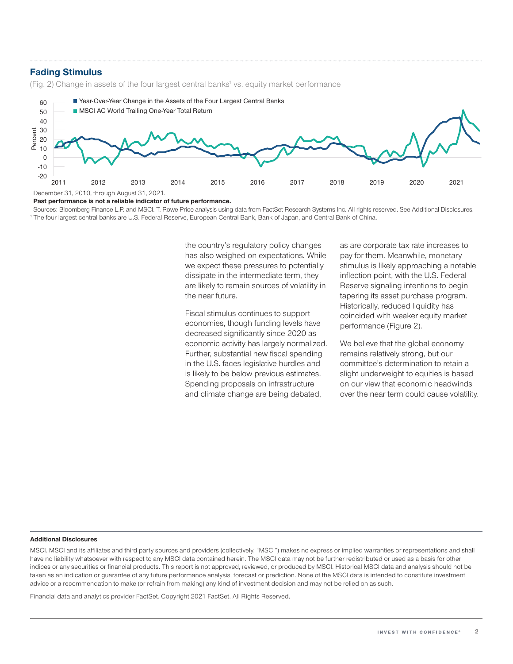### **Fading Stimulus**

(Fig. 2) Change in assets of the four largest central banks<sup>1</sup> vs. equity market performance



**Past performance is not a reliable indicator of future performance.**

Sources: Bloomberg Finance L.P. and MSCI. T. Rowe Price analysis using data from FactSet Research Systems Inc. All rights reserved. See Additional Disclosures. <sup>1</sup> The four largest central banks are U.S. Federal Reserve, European Central Bank, Bank of Japan, and Central Bank of China.

> the country's regulatory policy changes has also weighed on expectations. While we expect these pressures to potentially dissipate in the intermediate term, they are likely to remain sources of volatility in the near future.

> Fiscal stimulus continues to support economies, though funding levels have decreased significantly since 2020 as economic activity has largely normalized. Further, substantial new fiscal spending in the U.S. faces legislative hurdles and is likely to be below previous estimates. Spending proposals on infrastructure and climate change are being debated,

as are corporate tax rate increases to pay for them. Meanwhile, monetary stimulus is likely approaching a notable inflection point, with the U.S. Federal Reserve signaling intentions to begin tapering its asset purchase program. Historically, reduced liquidity has coincided with weaker equity market performance (Figure 2).

We believe that the global economy remains relatively strong, but our committee's determination to retain a slight underweight to equities is based on our view that economic headwinds over the near term could cause volatility.

#### **Additional Disclosures**

MSCI. MSCI and its affiliates and third party sources and providers (collectively, "MSCI") makes no express or implied warranties or representations and shall have no liability whatsoever with respect to any MSCI data contained herein. The MSCI data may not be further redistributed or used as a basis for other indices or any securities or financial products. This report is not approved, reviewed, or produced by MSCI. Historical MSCI data and analysis should not be taken as an indication or guarantee of any future performance analysis, forecast or prediction. None of the MSCI data is intended to constitute investment advice or a recommendation to make (or refrain from making) any kind of investment decision and may not be relied on as such.

Financial data and analytics provider FactSet. Copyright 2021 FactSet. All Rights Reserved.